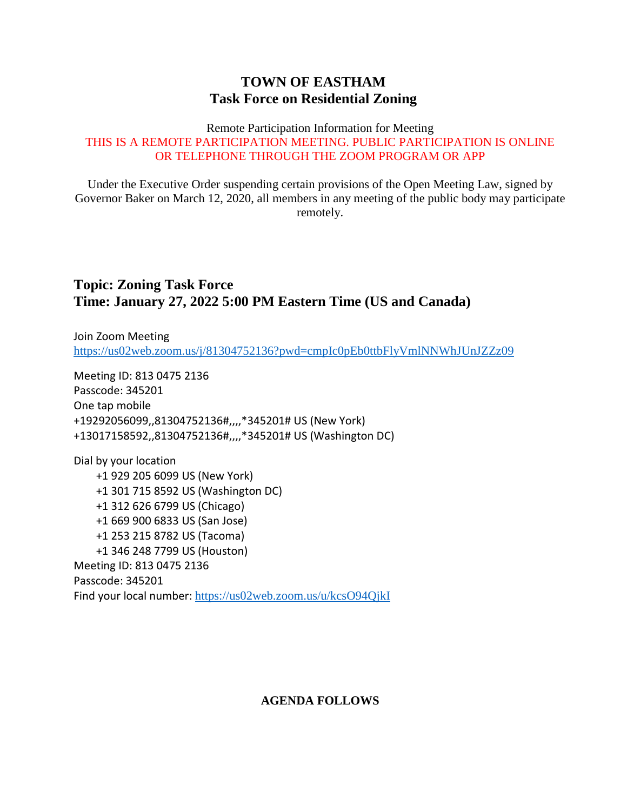## **TOWN OF EASTHAM Task Force on Residential Zoning**

#### Remote Participation Information for Meeting THIS IS A REMOTE PARTICIPATION MEETING. PUBLIC PARTICIPATION IS ONLINE OR TELEPHONE THROUGH THE ZOOM PROGRAM OR APP

Under the Executive Order suspending certain provisions of the Open Meeting Law, signed by Governor Baker on March 12, 2020, all members in any meeting of the public body may participate remotely.

## **Topic: Zoning Task Force Time: January 27, 2022 5:00 PM Eastern Time (US and Canada)**

Join Zoom Meeting <https://us02web.zoom.us/j/81304752136?pwd=cmpIc0pEb0ttbFlyVmlNNWhJUnJZZz09>

Meeting ID: 813 0475 2136 Passcode: 345201 One tap mobile +19292056099,,81304752136#,,,,\*345201# US (New York) +13017158592,,81304752136#,,,,\*345201# US (Washington DC)

Dial by your location +1 929 205 6099 US (New York) +1 301 715 8592 US (Washington DC) +1 312 626 6799 US (Chicago) +1 669 900 6833 US (San Jose) +1 253 215 8782 US (Tacoma) +1 346 248 7799 US (Houston) Meeting ID: 813 0475 2136 Passcode: 345201 Find your local number: <https://us02web.zoom.us/u/kcsO94QjkI>

### **AGENDA FOLLOWS**